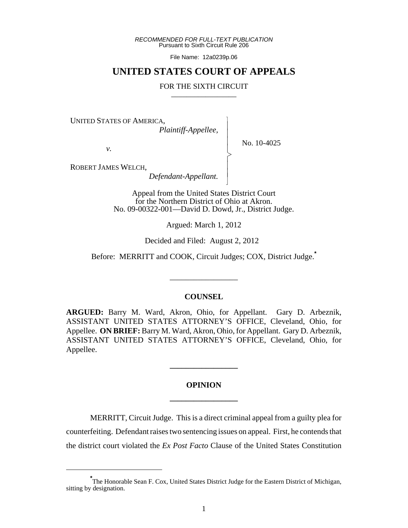*RECOMMENDED FOR FULL-TEXT PUBLICATION* Pursuant to Sixth Circuit Rule 206

File Name: 12a0239p.06

## **UNITED STATES COURT OF APPEALS**

### FOR THE SIXTH CIRCUIT

 $\overline{\phantom{a}}$ - - - > , - - N

UNITED STATES OF AMERICA,

 *Plaintiff-Appellee,*

No. 10-4025

*v.*

ROBERT JAMES WELCH,

 *Defendant-Appellant.*

Appeal from the United States District Court for the Northern District of Ohio at Akron. No. 09-00322-001—David D. Dowd, Jr., District Judge.

Argued: March 1, 2012

Decided and Filed: August 2, 2012

Before: MERRITT and COOK, Circuit Judges; COX, District Judge.**\***

\_\_\_\_\_\_\_\_\_\_\_\_\_\_\_\_\_

### **COUNSEL**

**ARGUED:** Barry M. Ward, Akron, Ohio, for Appellant. Gary D. Arbeznik, ASSISTANT UNITED STATES ATTORNEY'S OFFICE, Cleveland, Ohio, for Appellee. **ON BRIEF:** Barry M. Ward, Akron, Ohio, for Appellant. Gary D. Arbeznik, ASSISTANT UNITED STATES ATTORNEY'S OFFICE, Cleveland, Ohio, for Appellee.

# **OPINION \_\_\_\_\_\_\_\_\_\_\_\_\_\_\_\_\_**

**\_\_\_\_\_\_\_\_\_\_\_\_\_\_\_\_\_**

MERRITT, Circuit Judge. This is a direct criminal appeal from a guilty plea for counterfeiting. Defendant raises two sentencing issues on appeal. First, he contends that the district court violated the *Ex Post Facto* Clause of the United States Constitution

**<sup>\*</sup>** The Honorable Sean F. Cox, United States District Judge for the Eastern District of Michigan, sitting by designation.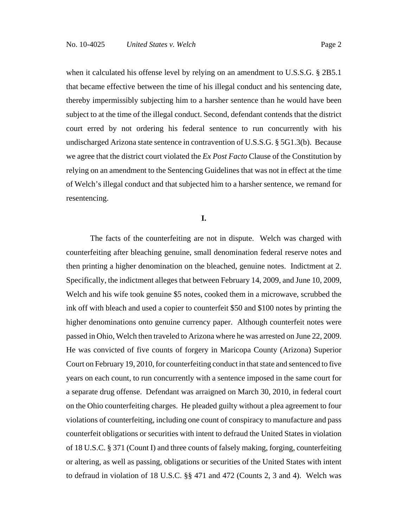when it calculated his offense level by relying on an amendment to U.S.S.G. § 2B5.1 that became effective between the time of his illegal conduct and his sentencing date, thereby impermissibly subjecting him to a harsher sentence than he would have been subject to at the time of the illegal conduct. Second, defendant contends that the district court erred by not ordering his federal sentence to run concurrently with his undischarged Arizona state sentence in contravention of U.S.S.G. § 5G1.3(b). Because we agree that the district court violated the *Ex Post Facto* Clause of the Constitution by relying on an amendment to the Sentencing Guidelines that was not in effect at the time of Welch's illegal conduct and that subjected him to a harsher sentence, we remand for resentencing.

**I.**

The facts of the counterfeiting are not in dispute. Welch was charged with counterfeiting after bleaching genuine, small denomination federal reserve notes and then printing a higher denomination on the bleached, genuine notes. Indictment at 2. Specifically, the indictment alleges that between February 14, 2009, and June 10, 2009, Welch and his wife took genuine \$5 notes, cooked them in a microwave, scrubbed the ink off with bleach and used a copier to counterfeit \$50 and \$100 notes by printing the higher denominations onto genuine currency paper. Although counterfeit notes were passed in Ohio, Welch then traveled to Arizona where he was arrested on June 22, 2009. He was convicted of five counts of forgery in Maricopa County (Arizona) Superior Court on February 19, 2010, for counterfeiting conduct in that state and sentenced to five years on each count, to run concurrently with a sentence imposed in the same court for a separate drug offense. Defendant was arraigned on March 30, 2010, in federal court on the Ohio counterfeiting charges. He pleaded guilty without a plea agreement to four violations of counterfeiting, including one count of conspiracy to manufacture and pass counterfeit obligations or securities with intent to defraud the United States in violation of 18 U.S.C. § 371 (Count I) and three counts of falsely making, forging, counterfeiting or altering, as well as passing, obligations or securities of the United States with intent to defraud in violation of 18 U.S.C. §§ 471 and 472 (Counts 2, 3 and 4). Welch was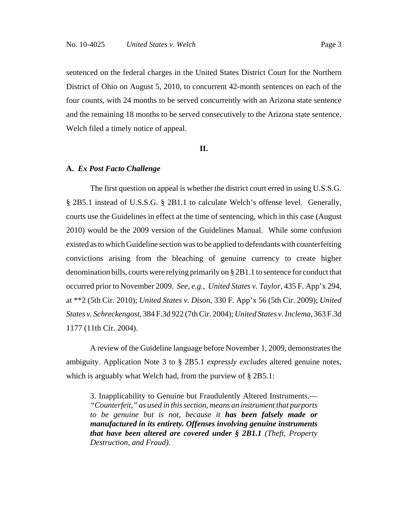sentenced on the federal charges in the United States District Court for the Northern District of Ohio on August 5, 2010, to concurrent 42-month sentences on each of the four counts, with 24 months to be served concurrently with an Arizona state sentence and the remaining 18 months to be served consecutively to the Arizona state sentence. Welch filed a timely notice of appeal.

### **II.**

#### **A.** *Ex Post Facto Challenge*

The first question on appeal is whether the district court erred in using U.S.S.G. § 2B5.1 instead of U.S.S.G. § 2B1.1 to calculate Welch's offense level. Generally, courts use the Guidelines in effect at the time of sentencing, which in this case (August 2010) would be the 2009 version of the Guidelines Manual. While some confusion existed as to which Guideline section was to be applied to defendants with counterfeiting convictions arising from the bleaching of genuine currency to create higher denomination bills, courts were relying primarily on § 2B1.1 to sentence for conduct that occurred prior to November 2009. *See, e.g., United States v. Taylor*, 435 F. App'x 294, at \*\*2 (5th Cir. 2010); *United States v. Dison*, 330 F. App'x 56 (5th Cir. 2009); *United States v. Schreckengost*, 384 F.3d 922 (7th Cir. 2004); *United States v. Inclema*, 363 F.3d 1177 (11th Cir. 2004).

A review of the Guideline language before November 1, 2009, demonstrates the ambiguity. Application Note 3 to § 2B5.1 *expressly excludes* altered genuine notes, which is arguably what Welch had, from the purview of § 2B5.1:

3. Inapplicability to Genuine but Fraudulently Altered Instruments.— *"Counterfeit," as used in this section, means an instrument that purports to be genuine but is not, because it has been falsely made or manufactured in its entirety. Offenses involving genuine instruments that have been altered are covered under § 2B1.1 (Theft, Property Destruction, and Fraud).*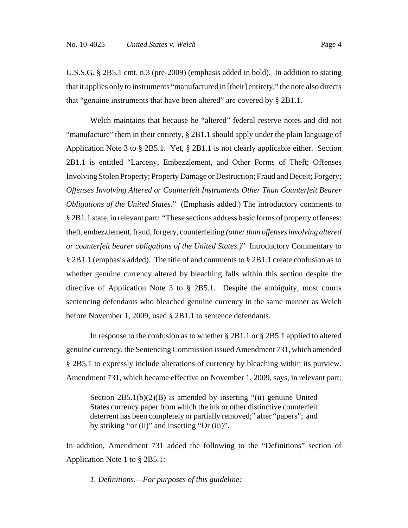U.S.S.G. § 2B5.1 cmt. n.3 (pre-2009) (emphasis added in bold). In addition to stating that it applies only to instruments "manufactured in [their] entirety," the note also directs that "genuine instruments that have been altered" are covered by § 2B1.1.

Welch maintains that because he "altered" federal reserve notes and did not "manufacture" them in their entirety, § 2B1.1 should apply under the plain language of Application Note 3 to § 2B5.1. Yet, § 2B1.1 is not clearly applicable either. Section 2B1.1 is entitled "Larceny, Embezzlement, and Other Forms of Theft; Offenses Involving Stolen Property; Property Damage or Destruction; Fraud and Deceit; Forgery; *Offenses Involving Altered or Counterfeit Instruments Other Than Counterfeit Bearer Obligations of the United States*." (Emphasis added.) The introductory comments to § 2B1.1 state, in relevant part: "These sections address basic forms of property offenses: theft, embezzlement, fraud, forgery, counterfeiting *(other than offenses involving altered or counterfeit bearer obligations of the United States.)*" Introductory Commentary to § 2B1.1 (emphasis added). The title of and comments to § 2B1.1 create confusion as to whether genuine currency altered by bleaching falls within this section despite the directive of Application Note 3 to § 2B5.1. Despite the ambiguity, most courts sentencing defendants who bleached genuine currency in the same manner as Welch before November 1, 2009, used § 2B1.1 to sentence defendants.

In response to the confusion as to whether § 2B1.1 or § 2B5.1 applied to altered genuine currency, the Sentencing Commission issued Amendment 731, which amended § 2B5.1 to expressly include alterations of currency by bleaching within its purview. Amendment 731, which became effective on November 1, 2009, says, in relevant part:

Section 2B5.1(b)(2)(B) is amended by inserting "(ii) genuine United States currency paper from which the ink or other distinctive counterfeit deterrent has been completely or partially removed;" after "papers"; and by striking "or (ii)" and inserting "Or (iii)".

In addition, Amendment 731 added the following to the "Definitions" section of Application Note 1 to § 2B5.1:

*1. Definitions.—For purposes of this guideline:*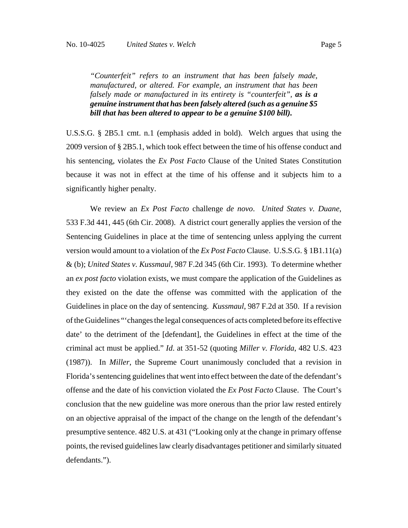*"Counterfeit" refers to an instrument that has been falsely made, manufactured, or altered. For example, an instrument that has been falsely made or manufactured in its entirety is "counterfeit", as is a genuine instrument that has been falsely altered (such as a genuine \$5 bill that has been altered to appear to be a genuine \$100 bill).*

U.S.S.G. § 2B5.1 cmt. n.1 (emphasis added in bold). Welch argues that using the 2009 version of § 2B5.1, which took effect between the time of his offense conduct and his sentencing, violates the *Ex Post Facto* Clause of the United States Constitution because it was not in effect at the time of his offense and it subjects him to a significantly higher penalty.

We review an *Ex Post Facto* challenge *de novo*. *United States v. Duane*, 533 F.3d 441, 445 (6th Cir. 2008). A district court generally applies the version of the Sentencing Guidelines in place at the time of sentencing unless applying the current version would amount to a violation of the *Ex Post Facto* Clause. U.S.S.G. § 1B1.11(a) & (b); *United States v. Kussmaul*, 987 F.2d 345 (6th Cir. 1993). To determine whether an *ex post facto* violation exists, we must compare the application of the Guidelines as they existed on the date the offense was committed with the application of the Guidelines in place on the day of sentencing. *Kussmaul*, 987 F.2d at 350. If a revision of the Guidelines "'changes the legal consequences of acts completed before its effective date' to the detriment of the [defendant], the Guidelines in effect at the time of the criminal act must be applied." *Id*. at 351-52 (quoting *Miller v. Florida*, 482 U.S. 423 (1987)). In *Miller*, the Supreme Court unanimously concluded that a revision in Florida's sentencing guidelines that went into effect between the date of the defendant's offense and the date of his conviction violated the *Ex Post Facto* Clause. The Court's conclusion that the new guideline was more onerous than the prior law rested entirely on an objective appraisal of the impact of the change on the length of the defendant's presumptive sentence. 482 U.S. at 431 ("Looking only at the change in primary offense points, the revised guidelines law clearly disadvantages petitioner and similarly situated defendants.").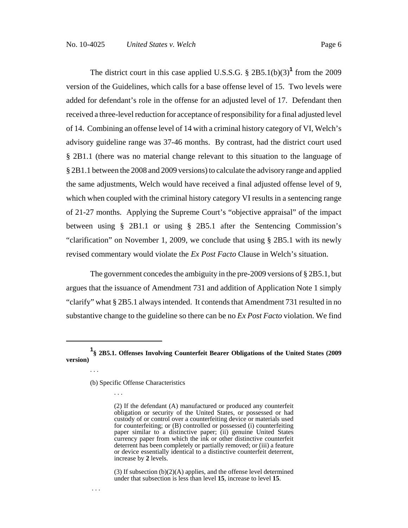The district court in this case applied U.S.S.G.  $\S 2B5.1(b)(3)^1$  from the 2009 version of the Guidelines, which calls for a base offense level of 15. Two levels were added for defendant's role in the offense for an adjusted level of 17. Defendant then

received a three-level reduction for acceptance of responsibility for a final adjusted level of 14. Combining an offense level of 14 with a criminal history category of VI, Welch's advisory guideline range was 37-46 months. By contrast, had the district court used § 2B1.1 (there was no material change relevant to this situation to the language of § 2B1.1 between the 2008 and 2009 versions) to calculate the advisory range and applied the same adjustments, Welch would have received a final adjusted offense level of 9, which when coupled with the criminal history category VI results in a sentencing range of 21-27 months. Applying the Supreme Court's "objective appraisal" of the impact between using § 2B1.1 or using § 2B5.1 after the Sentencing Commission's "clarification" on November 1, 2009, we conclude that using § 2B5.1 with its newly revised commentary would violate the *Ex Post Facto* Clause in Welch's situation.

The government concedes the ambiguity in the pre-2009 versions of § 2B5.1, but argues that the issuance of Amendment 731 and addition of Application Note 1 simply "clarify" what § 2B5.1 always intended. It contends that Amendment 731 resulted in no substantive change to the guideline so there can be no *Ex Post Facto* violation. We find

. . .

. . .

. . .

**<sup>1</sup> § 2B5.1. Offenses Involving Counterfeit Bearer Obligations of the United States (2009 version)**

<sup>(</sup>b) Specific Offense Characteristics

<sup>(2)</sup> If the defendant (A) manufactured or produced any counterfeit obligation or security of the United States, or possessed or had custody of or control over a counterfeiting device or materials used for counterfeiting; or (B) controlled or possessed (i) counterfeiting paper similar to a distinctive paper; (ii) genuine United States currency paper from which the ink or other distinctive counterfeit deterrent has been completely or partially removed; or (iii) a feature or device essentially identical to a distinctive counterfeit deterrent, increase by **2** levels.

<sup>(3)</sup> If subsection  $(b)(2)(A)$  applies, and the offense level determined under that subsection is less than level **15**, increase to level **15**.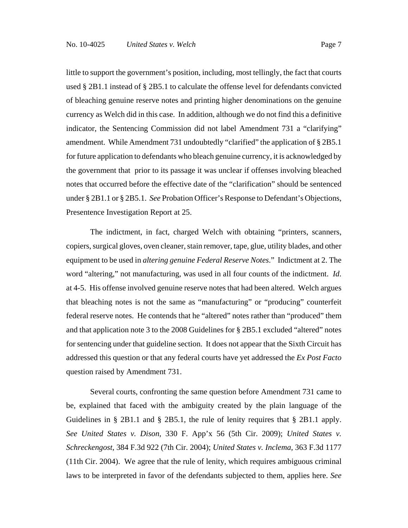little to support the government's position, including, most tellingly, the fact that courts used § 2B1.1 instead of § 2B5.1 to calculate the offense level for defendants convicted of bleaching genuine reserve notes and printing higher denominations on the genuine currency as Welch did in this case. In addition, although we do not find this a definitive indicator, the Sentencing Commission did not label Amendment 731 a "clarifying" amendment. While Amendment 731 undoubtedly "clarified" the application of § 2B5.1 for future application to defendants who bleach genuine currency, it is acknowledged by the government that prior to its passage it was unclear if offenses involving bleached notes that occurred before the effective date of the "clarification" should be sentenced under § 2B1.1 or § 2B5.1. *See* Probation Officer's Response to Defendant's Objections, Presentence Investigation Report at 25.

The indictment, in fact, charged Welch with obtaining "printers, scanners, copiers, surgical gloves, oven cleaner, stain remover, tape, glue, utility blades, and other equipment to be used in *altering genuine Federal Reserve Notes*." Indictment at 2. The word "altering," not manufacturing, was used in all four counts of the indictment. *Id*. at 4-5. His offense involved genuine reserve notes that had been altered. Welch argues that bleaching notes is not the same as "manufacturing" or "producing" counterfeit federal reserve notes. He contends that he "altered" notes rather than "produced" them and that application note 3 to the 2008 Guidelines for § 2B5.1 excluded "altered" notes for sentencing under that guideline section. It does not appear that the Sixth Circuit has addressed this question or that any federal courts have yet addressed the *Ex Post Facto* question raised by Amendment 731.

Several courts, confronting the same question before Amendment 731 came to be, explained that faced with the ambiguity created by the plain language of the Guidelines in § 2B1.1 and § 2B5.1, the rule of lenity requires that § 2B1.1 apply. *See United States v. Dison*, 330 F. App'x 56 (5th Cir. 2009); *United States v. Schreckengost*, 384 F.3d 922 (7th Cir. 2004); *United States v. Inclema*, 363 F.3d 1177 (11th Cir. 2004). We agree that the rule of lenity, which requires ambiguous criminal laws to be interpreted in favor of the defendants subjected to them, applies here. *See*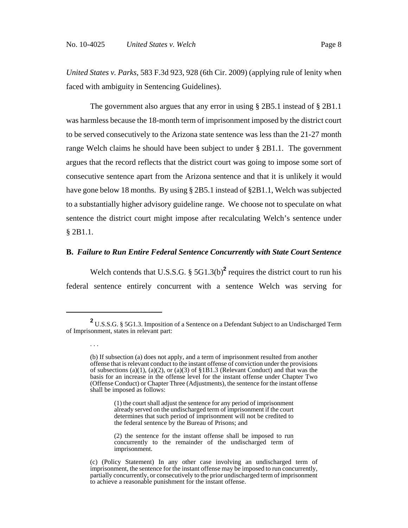. . .

*United States v. Parks*, 583 F.3d 923, 928 (6th Cir. 2009) (applying rule of lenity when faced with ambiguity in Sentencing Guidelines).

The government also argues that any error in using § 2B5.1 instead of § 2B1.1 was harmless because the 18-month term of imprisonment imposed by the district court to be served consecutively to the Arizona state sentence was less than the 21-27 month range Welch claims he should have been subject to under § 2B1.1. The government argues that the record reflects that the district court was going to impose some sort of consecutive sentence apart from the Arizona sentence and that it is unlikely it would have gone below 18 months. By using § 2B5.1 instead of §2B1.1, Welch was subjected to a substantially higher advisory guideline range. We choose not to speculate on what sentence the district court might impose after recalculating Welch's sentence under § 2B1.1.

### **B.** *Failure to Run Entire Federal Sentence Concurrently with State Court Sentence*

Welch contends that U.S.S.G.  $\S$  5G1.3(b)<sup>2</sup> requires the district court to run his federal sentence entirely concurrent with a sentence Welch was serving for

**<sup>2</sup>** U.S.S.G. § 5G1.3. Imposition of a Sentence on a Defendant Subject to an Undischarged Term of Imprisonment, states in relevant part:

<sup>(</sup>b) If subsection (a) does not apply, and a term of imprisonment resulted from another offense that is relevant conduct to the instant offense of conviction under the provisions of subsections (a)(1), (a)(2), or (a)(3) of §1B1.3 (Relevant Conduct) and that was the basis for an increase in the offense level for the instant offense under Chapter Two (Offense Conduct) or Chapter Three (Adjustments), the sentence for the instant offense shall be imposed as follows:

<sup>(1)</sup> the court shall adjust the sentence for any period of imprisonment already served on the undischarged term of imprisonment if the court determines that such period of imprisonment will not be credited to the federal sentence by the Bureau of Prisons; and

<sup>(2)</sup> the sentence for the instant offense shall be imposed to run concurrently to the remainder of the undischarged term of imprisonment.

<sup>(</sup>c) (Policy Statement) In any other case involving an undischarged term of imprisonment, the sentence for the instant offense may be imposed to run concurrently, partially concurrently, or consecutively to the prior undischarged term of imprisonment to achieve a reasonable punishment for the instant offense.